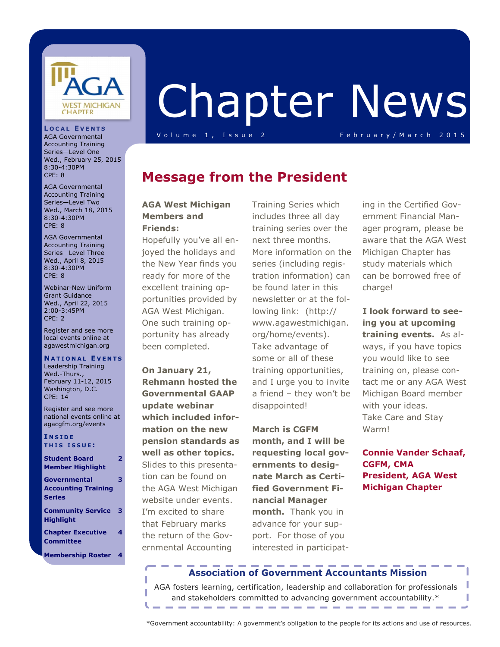

**L O C A L E V E N T S** AGA Governmental Accounting Training Series—Level One Wed., February 25, 2015

AGA Governmental Accounting Training Series—Level Two Wed., March 18, 2015 8:30-4:30PM CPE: 8

AGA Governmental Accounting Training Series—Level Three Wed., April 8, 2015 8:30-4:30PM CPE: 8

Webinar-New Uniform Grant Guidance Wed., April 22, 2015 2:00-3:45PM CPE: 2

Register and see more local events online at agawestmichigan.org **N A T I O N A L E V E N T S** Leadership Training Wed.-Thurs., February 11-12, 2015 Washington, D.C.

Register and see more national events online at agacgfm.org/events

8:30-4:30PM CPE: 8

# Chapter News

V o lu m e 1, Issue 2 February/March 2015

### **Message from the President**

#### **AGA West Michigan Members and Friends:**

Hopefully you've all enjoyed the holidays and the New Year finds you ready for more of the excellent training opportunities provided by AGA West Michigan. One such training opportunity has already been completed.

**On January 21, Rehmann hosted the Governmental GAAP update webinar which included information on the new pension standards as well as other topics.**  Slides to this presentation can be found on the AGA West Michigan website under events. I'm excited to share that February marks the return of the Governmental Accounting

Training Series which includes three all day training series over the next three months. More information on the series (including registration information) can be found later in this newsletter or at the following link: (http:// www.agawestmichigan. org/home/events). Take advantage of some or all of these training opportunities, and I urge you to invite a friend – they won't be disappointed!

**March is CGFM month, and I will be requesting local governments to designate March as Certified Government Financial Manager month.** Thank you in advance for your support. For those of you interested in participating in the Certified Government Financial Manager program, please be aware that the AGA West Michigan Chapter has study materials which can be borrowed free of charge!

**I look forward to seeing you at upcoming training events.** As always, if you have topics you would like to see training on, please contact me or any AGA West Michigan Board member with your ideas. Take Care and Stay Warm!

**Connie Vander Schaaf, CGFM, CMA President, AGA West Michigan Chapter**

> ı ı

**T H I S I S S U E : Student Board Member Highlight 2**

**4**

| Governmental               |   |
|----------------------------|---|
| <b>Accounting Training</b> |   |
| <b>Series</b>              |   |
| <b>Community Service</b>   | з |
| <b>Highlight</b>           |   |

**I N S I D E**

CPE: 14

**Chapter Executive Committee**

**Membership Roster 4**

#### **Association of Government Accountants Mission**

AGA fosters learning, certification, leadership and collaboration for professionals and stakeholders committed to advancing government accountability.\*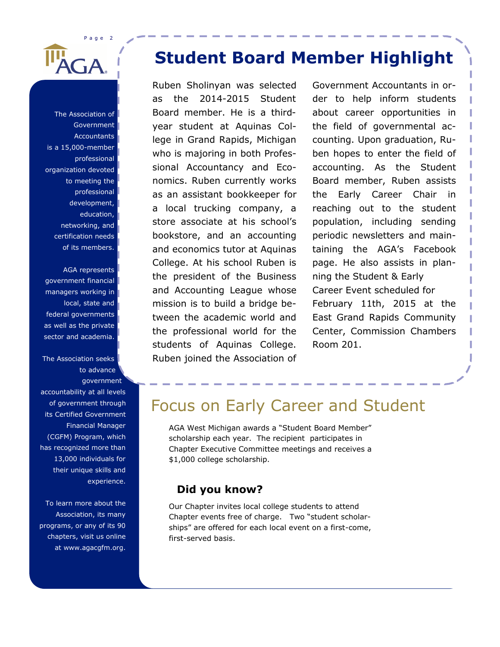Page 2 GA

The Association of Government **Accountants** is a 15,000-member professional organization devoted to meeting the professional development, education, networking, and certification needs of its members.

AGA represents government financial managers working in local, state and federal governments as well as the private sector and academia.

The Association seeks to advance government accountability at all levels of government through its Certified Government Financial Manager (CGFM) Program, which has recognized more than 13,000 individuals for their unique skills and experience.

To learn more about the Association, its many programs, or any of its 90 chapters, visit us online at www.agacgfm.org.

## **Student Board Member Highlight**

Ruben Sholinyan was selected as the 2014-2015 Student Board member. He is a thirdyear student at Aquinas College in Grand Rapids, Michigan who is majoring in both Professional Accountancy and Economics. Ruben currently works as an assistant bookkeeper for a local trucking company, a store associate at his school's bookstore, and an accounting and economics tutor at Aquinas College. At his school Ruben is the president of the Business and Accounting League whose mission is to build a bridge between the academic world and the professional world for the students of Aquinas College. Ruben joined the Association of

Government Accountants in order to help inform students about career opportunities in the field of governmental accounting. Upon graduation, Ruben hopes to enter the field of accounting. As the Student Board member, Ruben assists the Early Career Chair in reaching out to the student population, including sending periodic newsletters and maintaining the AGA's Facebook page. He also assists in planning the Student & Early Career Event scheduled for February 11th, 2015 at the East Grand Rapids Community Center, Commission Chambers Room 201.

### Focus on Early Career and Student

AGA West Michigan awards a "Student Board Member" scholarship each year. The recipient participates in Chapter Executive Committee meetings and receives a \$1,000 college scholarship.

#### **Did you know?**

Our Chapter invites local college students to attend Chapter events free of charge. Two "student scholarships" are offered for each local event on a first-come, first-served basis.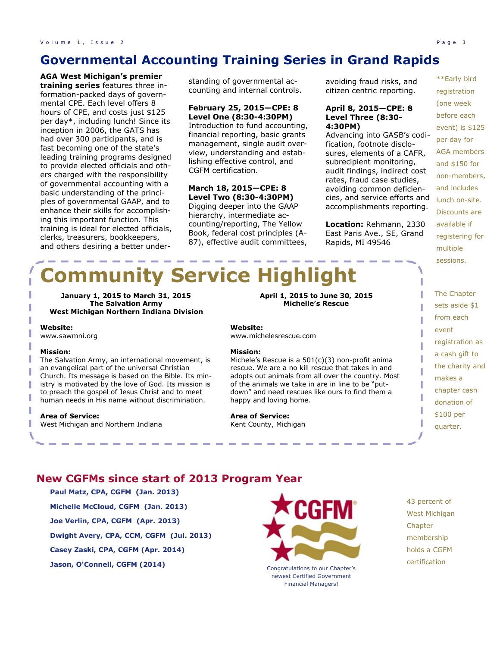### **Governmental Accounting Training Series in Grand Rapids**

**AGA West Michigan's premier training series** features three information-packed days of governmental CPE. Each level offers 8 hours of CPE, and costs just \$125 per day\*, including lunch! Since its inception in 2006, the GATS has had over 300 participants, and is fast becoming one of the state's leading training programs designed to provide elected officials and others charged with the responsibility of governmental accounting with a basic understanding of the principles of governmental GAAP, and to enhance their skills for accomplishing this important function. This training is ideal for elected officials, clerks, treasurers, bookkeepers, and others desiring a better under-

standing of governmental accounting and internal controls.

#### **February 25, 2015—CPE: 8 Level One (8:30-4:30PM)**

Introduction to fund accounting, financial reporting, basic grants management, single audit overview, understanding and establishing effective control, and CGFM certification.

#### **March 18, 2015—CPE: 8 Level Two (8:30-4:30PM)**

Digging deeper into the GAAP hierarchy, intermediate accounting/reporting, The Yellow Book, federal cost principles (A-87), effective audit committees,

avoiding fraud risks, and citizen centric reporting.

#### **April 8, 2015—CPE: 8 Level Three (8:30- 4:30PM)**

Advancing into GASB's codification, footnote disclosures, elements of a CAFR, subrecipient monitoring, audit findings, indirect cost rates, fraud case studies, avoiding common deficiencies, and service efforts and accomplishments reporting.

**Location:** Rehmann, 2330 East Paris Ave., SE, Grand Rapids, MI 49546

\*\*Early bird registration (one week before each event) is \$125 per day for AGA members and \$150 for non-members, and includes lunch on-site. Discounts are available if registering for multiple sessions.

# **Community Service Highlight**

**January 1, 2015 to March 31, 2015 The Salvation Army West Michigan Northern Indiana Division**

**Website:**  www.sawmni.org

#### **Mission:**

The Salvation Army, an international movement, is an evangelical part of the universal Christian Church. Its message is based on the Bible. Its ministry is motivated by the love of God. Its mission is to preach the gospel of Jesus Christ and to meet human needs in His name without discrimination.

#### **Area of Service:**

West Michigan and Northern Indiana

#### **April 1, 2015 to June 30, 2015 Michelle's Rescue**

**Website:**  www.michelesrescue.com

#### **Mission:**

Michele's Rescue is a 501(c)(3) non-profit anima rescue. We are a no kill rescue that takes in and adopts out animals from all over the country. Most of the animals we take in are in line to be "putdown" and need rescues like ours to find them a happy and loving home.

**Area of Service:**  Kent County, Michigan The Chapter sets aside \$1 from each event registration as a cash gift to the charity and makes a chapter cash donation of \$100 per quarter.

#### **New CGFMs since start of 2013 Program Year**

- **Paul Matz, CPA, CGFM (Jan. 2013) Michelle McCloud, CGFM (Jan. 2013) Joe Verlin, CPA, CGFM (Apr. 2013) Dwight Avery, CPA, CCM, CGFM (Jul. 2013)**
- **Casey Zaski, CPA, CGFM (Apr. 2014)**
- **Jason, O'Connell, CGFM (2014)**



newest Certified Government Financial Managers!

- 43 percent of West Michigan **Chapter** membership holds a CGFM
- certification